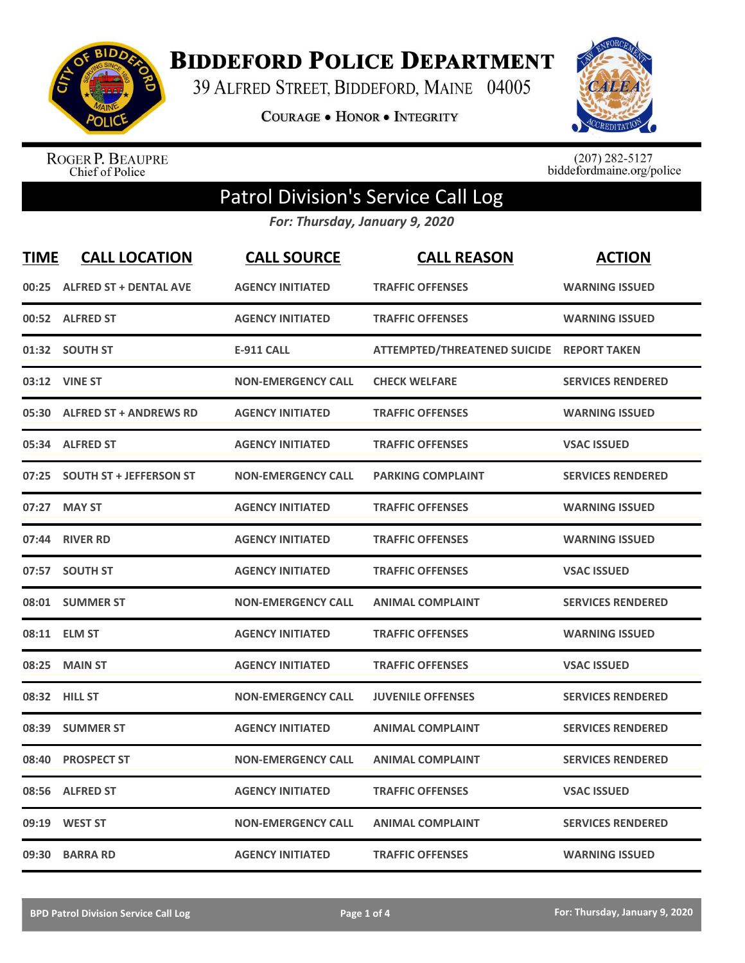

**BIDDEFORD POLICE DEPARTMENT** 

39 ALFRED STREET, BIDDEFORD, MAINE 04005

**COURAGE . HONOR . INTEGRITY** 



ROGER P. BEAUPRE<br>Chief of Police

 $(207)$  282-5127<br>biddefordmaine.org/police

## Patrol Division's Service Call Log

*For: Thursday, January 9, 2020*

| <b>TIME</b> | <b>CALL LOCATION</b>           | <b>CALL SOURCE</b>        | <b>CALL REASON</b>                        | <b>ACTION</b>            |
|-------------|--------------------------------|---------------------------|-------------------------------------------|--------------------------|
|             | 00:25 ALFRED ST + DENTAL AVE   | <b>AGENCY INITIATED</b>   | <b>TRAFFIC OFFENSES</b>                   | <b>WARNING ISSUED</b>    |
|             | 00:52 ALFRED ST                | <b>AGENCY INITIATED</b>   | <b>TRAFFIC OFFENSES</b>                   | <b>WARNING ISSUED</b>    |
|             | 01:32 SOUTH ST                 | E-911 CALL                | ATTEMPTED/THREATENED SUICIDE REPORT TAKEN |                          |
| 03:12       | <b>VINE ST</b>                 | <b>NON-EMERGENCY CALL</b> | <b>CHECK WELFARE</b>                      | <b>SERVICES RENDERED</b> |
| 05:30       | <b>ALFRED ST + ANDREWS RD</b>  | <b>AGENCY INITIATED</b>   | <b>TRAFFIC OFFENSES</b>                   | <b>WARNING ISSUED</b>    |
|             | 05:34 ALFRED ST                | <b>AGENCY INITIATED</b>   | <b>TRAFFIC OFFENSES</b>                   | <b>VSAC ISSUED</b>       |
| 07:25       | <b>SOUTH ST + JEFFERSON ST</b> | <b>NON-EMERGENCY CALL</b> | <b>PARKING COMPLAINT</b>                  | <b>SERVICES RENDERED</b> |
| 07:27       | <b>MAY ST</b>                  | <b>AGENCY INITIATED</b>   | <b>TRAFFIC OFFENSES</b>                   | <b>WARNING ISSUED</b>    |
| 07:44       | <b>RIVER RD</b>                | <b>AGENCY INITIATED</b>   | <b>TRAFFIC OFFENSES</b>                   | <b>WARNING ISSUED</b>    |
| 07:57       | <b>SOUTH ST</b>                | <b>AGENCY INITIATED</b>   | <b>TRAFFIC OFFENSES</b>                   | <b>VSAC ISSUED</b>       |
|             | 08:01 SUMMER ST                | <b>NON-EMERGENCY CALL</b> | <b>ANIMAL COMPLAINT</b>                   | <b>SERVICES RENDERED</b> |
|             | 08:11 ELM ST                   | <b>AGENCY INITIATED</b>   | <b>TRAFFIC OFFENSES</b>                   | <b>WARNING ISSUED</b>    |
| 08:25       | <b>MAIN ST</b>                 | <b>AGENCY INITIATED</b>   | <b>TRAFFIC OFFENSES</b>                   | <b>VSAC ISSUED</b>       |
| 08:32       | <b>HILL ST</b>                 | <b>NON-EMERGENCY CALL</b> | <b>JUVENILE OFFENSES</b>                  | <b>SERVICES RENDERED</b> |
| 08:39       | <b>SUMMER ST</b>               | <b>AGENCY INITIATED</b>   | <b>ANIMAL COMPLAINT</b>                   | <b>SERVICES RENDERED</b> |
| 08:40       | <b>PROSPECT ST</b>             | <b>NON-EMERGENCY CALL</b> | <b>ANIMAL COMPLAINT</b>                   | <b>SERVICES RENDERED</b> |
| 08:56       | <b>ALFRED ST</b>               | <b>AGENCY INITIATED</b>   | <b>TRAFFIC OFFENSES</b>                   | <b>VSAC ISSUED</b>       |
| 09:19       | <b>WEST ST</b>                 | <b>NON-EMERGENCY CALL</b> | <b>ANIMAL COMPLAINT</b>                   | <b>SERVICES RENDERED</b> |
|             | 09:30 BARRA RD                 | <b>AGENCY INITIATED</b>   | <b>TRAFFIC OFFENSES</b>                   | <b>WARNING ISSUED</b>    |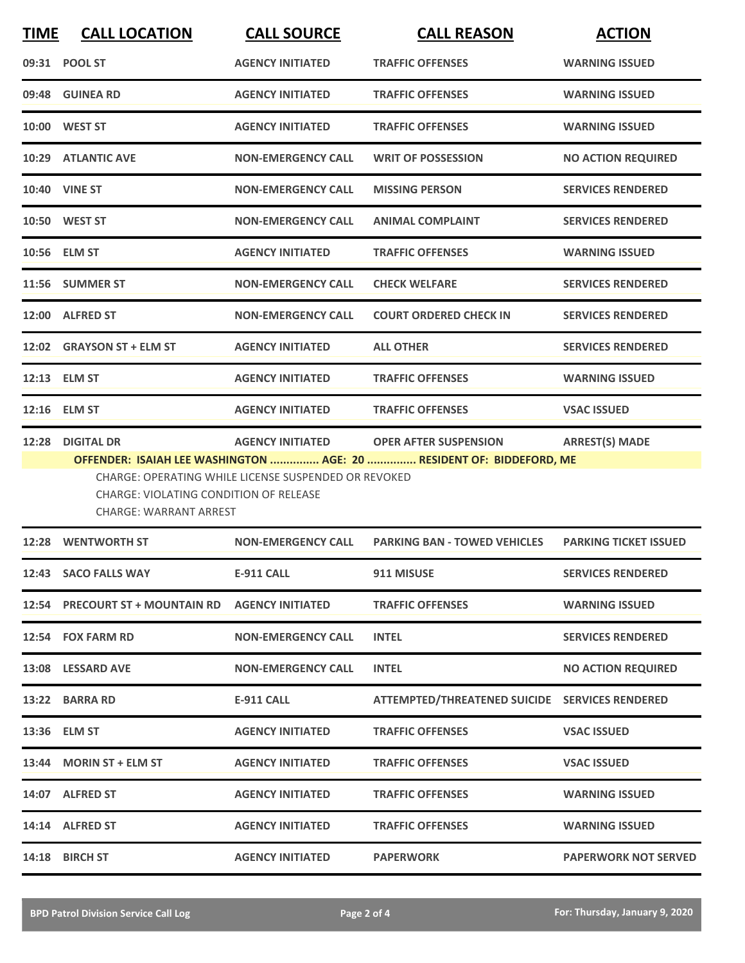| <b>TIME</b> | <b>CALL LOCATION</b>                                                    | <b>CALL SOURCE</b>                                          | <b>CALL REASON</b>                             | <b>ACTION</b>                |
|-------------|-------------------------------------------------------------------------|-------------------------------------------------------------|------------------------------------------------|------------------------------|
|             | 09:31 POOL ST                                                           | <b>AGENCY INITIATED</b>                                     | <b>TRAFFIC OFFENSES</b>                        | <b>WARNING ISSUED</b>        |
|             | 09:48 GUINEA RD                                                         | <b>AGENCY INITIATED</b>                                     | <b>TRAFFIC OFFENSES</b>                        | <b>WARNING ISSUED</b>        |
|             | 10:00 WEST ST                                                           | <b>AGENCY INITIATED</b>                                     | <b>TRAFFIC OFFENSES</b>                        | <b>WARNING ISSUED</b>        |
|             | 10:29 ATLANTIC AVE                                                      | <b>NON-EMERGENCY CALL</b>                                   | <b>WRIT OF POSSESSION</b>                      | <b>NO ACTION REQUIRED</b>    |
|             | <b>10:40 VINE ST</b>                                                    | <b>NON-EMERGENCY CALL</b>                                   | <b>MISSING PERSON</b>                          | <b>SERVICES RENDERED</b>     |
|             | 10:50 WEST ST                                                           | <b>NON-EMERGENCY CALL</b>                                   | <b>ANIMAL COMPLAINT</b>                        | <b>SERVICES RENDERED</b>     |
|             | 10:56 ELM ST                                                            | <b>AGENCY INITIATED</b>                                     | <b>TRAFFIC OFFENSES</b>                        | <b>WARNING ISSUED</b>        |
|             | 11:56 SUMMER ST                                                         | <b>NON-EMERGENCY CALL</b>                                   | <b>CHECK WELFARE</b>                           | <b>SERVICES RENDERED</b>     |
| 12:00       | <b>ALFRED ST</b>                                                        | <b>NON-EMERGENCY CALL</b>                                   | <b>COURT ORDERED CHECK IN</b>                  | <b>SERVICES RENDERED</b>     |
|             | 12:02 GRAYSON ST + ELM ST                                               | <b>AGENCY INITIATED</b>                                     | <b>ALL OTHER</b>                               | <b>SERVICES RENDERED</b>     |
|             | 12:13 ELM ST                                                            | <b>AGENCY INITIATED</b>                                     | <b>TRAFFIC OFFENSES</b>                        | <b>WARNING ISSUED</b>        |
|             | 12:16 ELM ST                                                            | <b>AGENCY INITIATED</b>                                     | <b>TRAFFIC OFFENSES</b>                        | <b>VSAC ISSUED</b>           |
| 12:28       | <b>DIGITAL DR</b>                                                       | <b>AGENCY INITIATED</b>                                     | <b>OPER AFTER SUSPENSION</b>                   | <b>ARREST(S) MADE</b>        |
|             | CHARGE: VIOLATING CONDITION OF RELEASE<br><b>CHARGE: WARRANT ARREST</b> | <b>CHARGE: OPERATING WHILE LICENSE SUSPENDED OR REVOKED</b> |                                                |                              |
|             | 12:28 WENTWORTH ST                                                      | <b>NON-EMERGENCY CALL</b>                                   | <b>PARKING BAN - TOWED VEHICLES</b>            | <b>PARKING TICKET ISSUED</b> |
|             | 12:43 SACO FALLS WAY                                                    | <b>E-911 CALL</b>                                           | 911 MISUSE                                     | <b>SERVICES RENDERED</b>     |
|             | 12:54 PRECOURT ST + MOUNTAIN RD AGENCY INITIATED                        |                                                             | <b>TRAFFIC OFFENSES</b>                        | <b>WARNING ISSUED</b>        |
|             | 12:54 FOX FARM RD                                                       | <b>NON-EMERGENCY CALL</b>                                   | <b>INTEL</b>                                   | <b>SERVICES RENDERED</b>     |
|             | 13:08 LESSARD AVE                                                       | <b>NON-EMERGENCY CALL</b>                                   | <b>INTEL</b>                                   | <b>NO ACTION REQUIRED</b>    |
|             | 13:22 BARRA RD                                                          | <b>E-911 CALL</b>                                           | ATTEMPTED/THREATENED SUICIDE SERVICES RENDERED |                              |
|             | 13:36 ELM ST                                                            | <b>AGENCY INITIATED</b>                                     | <b>TRAFFIC OFFENSES</b>                        | <b>VSAC ISSUED</b>           |
|             | 13:44 MORIN ST + ELM ST                                                 | <b>AGENCY INITIATED</b>                                     | <b>TRAFFIC OFFENSES</b>                        | <b>VSAC ISSUED</b>           |
|             | 14:07 ALFRED ST                                                         | <b>AGENCY INITIATED</b>                                     | <b>TRAFFIC OFFENSES</b>                        | <b>WARNING ISSUED</b>        |
|             | 14:14 ALFRED ST                                                         | <b>AGENCY INITIATED</b>                                     | <b>TRAFFIC OFFENSES</b>                        | <b>WARNING ISSUED</b>        |
|             | 14:18 BIRCH ST                                                          | <b>AGENCY INITIATED</b>                                     | <b>PAPERWORK</b>                               | <b>PAPERWORK NOT SERVED</b>  |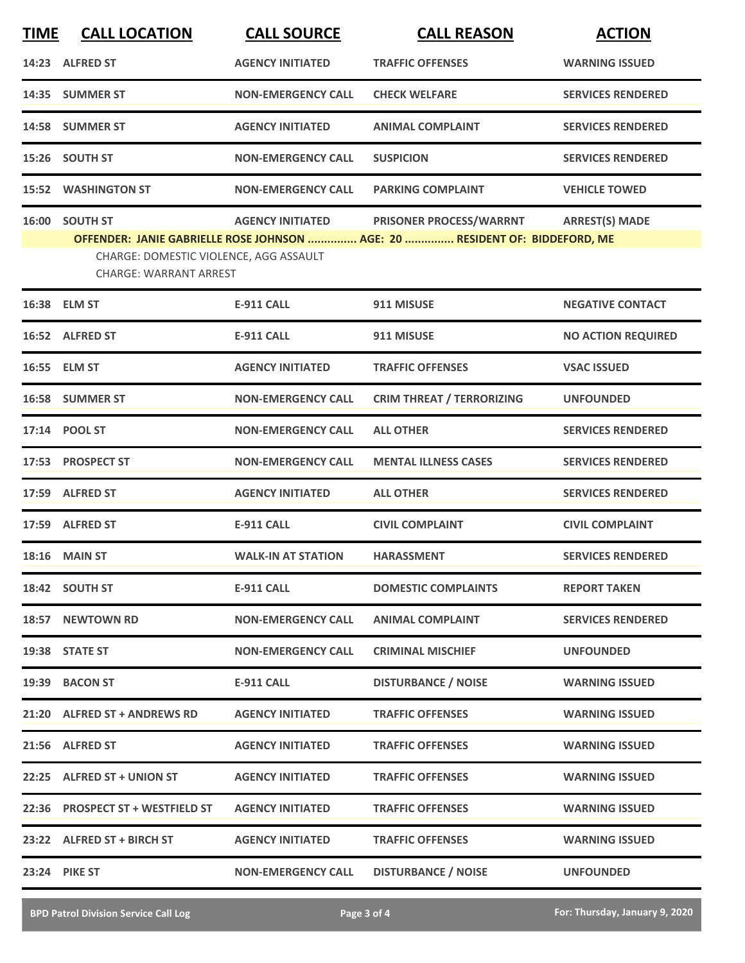| <b>TIME</b> | <b>CALL LOCATION</b>                                                                      | <b>CALL SOURCE</b>        | <b>CALL REASON</b>                                                                                     | <b>ACTION</b>             |
|-------------|-------------------------------------------------------------------------------------------|---------------------------|--------------------------------------------------------------------------------------------------------|---------------------------|
|             | 14:23 ALFRED ST                                                                           | <b>AGENCY INITIATED</b>   | <b>TRAFFIC OFFENSES</b>                                                                                | <b>WARNING ISSUED</b>     |
| 14:35       | <b>SUMMER ST</b>                                                                          | <b>NON-EMERGENCY CALL</b> | <b>CHECK WELFARE</b>                                                                                   | <b>SERVICES RENDERED</b>  |
|             | 14:58 SUMMER ST                                                                           | <b>AGENCY INITIATED</b>   | <b>ANIMAL COMPLAINT</b>                                                                                | <b>SERVICES RENDERED</b>  |
|             | 15:26 SOUTH ST                                                                            | <b>NON-EMERGENCY CALL</b> | <b>SUSPICION</b>                                                                                       | <b>SERVICES RENDERED</b>  |
| 15:52       | <b>WASHINGTON ST</b>                                                                      | <b>NON-EMERGENCY CALL</b> | <b>PARKING COMPLAINT</b>                                                                               | <b>VEHICLE TOWED</b>      |
|             | 16:00 SOUTH ST<br>CHARGE: DOMESTIC VIOLENCE, AGG ASSAULT<br><b>CHARGE: WARRANT ARREST</b> | <b>AGENCY INITIATED</b>   | PRISONER PROCESS/WARRNT<br>OFFENDER: JANIE GABRIELLE ROSE JOHNSON  AGE: 20  RESIDENT OF: BIDDEFORD, ME | <b>ARREST(S) MADE</b>     |
|             | 16:38 ELM ST                                                                              | <b>E-911 CALL</b>         | 911 MISUSE                                                                                             | <b>NEGATIVE CONTACT</b>   |
|             | 16:52 ALFRED ST                                                                           | <b>E-911 CALL</b>         | 911 MISUSE                                                                                             | <b>NO ACTION REQUIRED</b> |
|             | 16:55 ELM ST                                                                              | <b>AGENCY INITIATED</b>   | <b>TRAFFIC OFFENSES</b>                                                                                | <b>VSAC ISSUED</b>        |
|             | 16:58 SUMMER ST                                                                           | <b>NON-EMERGENCY CALL</b> | <b>CRIM THREAT / TERRORIZING</b>                                                                       | <b>UNFOUNDED</b>          |
|             | 17:14 POOL ST                                                                             | <b>NON-EMERGENCY CALL</b> | <b>ALL OTHER</b>                                                                                       | <b>SERVICES RENDERED</b>  |
|             | 17:53 PROSPECT ST                                                                         | <b>NON-EMERGENCY CALL</b> | <b>MENTAL ILLNESS CASES</b>                                                                            | <b>SERVICES RENDERED</b>  |
|             | 17:59 ALFRED ST                                                                           | <b>AGENCY INITIATED</b>   | <b>ALL OTHER</b>                                                                                       | <b>SERVICES RENDERED</b>  |
|             | 17:59 ALFRED ST                                                                           | <b>E-911 CALL</b>         | <b>CIVIL COMPLAINT</b>                                                                                 | <b>CIVIL COMPLAINT</b>    |
|             | <b>18:16 MAIN ST</b>                                                                      | <b>WALK-IN AT STATION</b> | <b>HARASSMENT</b>                                                                                      | <b>SERVICES RENDERED</b>  |
|             | 18:42 SOUTH ST                                                                            | <b>E-911 CALL</b>         | <b>DOMESTIC COMPLAINTS</b>                                                                             | <b>REPORT TAKEN</b>       |
|             | 18:57 NEWTOWN RD                                                                          | <b>NON-EMERGENCY CALL</b> | <b>ANIMAL COMPLAINT</b>                                                                                | <b>SERVICES RENDERED</b>  |
|             | 19:38 STATE ST                                                                            | <b>NON-EMERGENCY CALL</b> | <b>CRIMINAL MISCHIEF</b>                                                                               | <b>UNFOUNDED</b>          |
|             | 19:39 BACON ST                                                                            | <b>E-911 CALL</b>         | <b>DISTURBANCE / NOISE</b>                                                                             | <b>WARNING ISSUED</b>     |
|             | 21:20 ALFRED ST + ANDREWS RD                                                              | <b>AGENCY INITIATED</b>   | <b>TRAFFIC OFFENSES</b>                                                                                | <b>WARNING ISSUED</b>     |
|             | 21:56 ALFRED ST                                                                           | <b>AGENCY INITIATED</b>   | <b>TRAFFIC OFFENSES</b>                                                                                | <b>WARNING ISSUED</b>     |
|             | 22:25 ALFRED ST + UNION ST                                                                | <b>AGENCY INITIATED</b>   | <b>TRAFFIC OFFENSES</b>                                                                                | <b>WARNING ISSUED</b>     |
|             | 22:36 PROSPECT ST + WESTFIELD ST                                                          | <b>AGENCY INITIATED</b>   | <b>TRAFFIC OFFENSES</b>                                                                                | <b>WARNING ISSUED</b>     |
|             | 23:22 ALFRED ST + BIRCH ST                                                                | <b>AGENCY INITIATED</b>   | <b>TRAFFIC OFFENSES</b>                                                                                | <b>WARNING ISSUED</b>     |
|             | 23:24 PIKE ST                                                                             | <b>NON-EMERGENCY CALL</b> | <b>DISTURBANCE / NOISE</b>                                                                             | <b>UNFOUNDED</b>          |